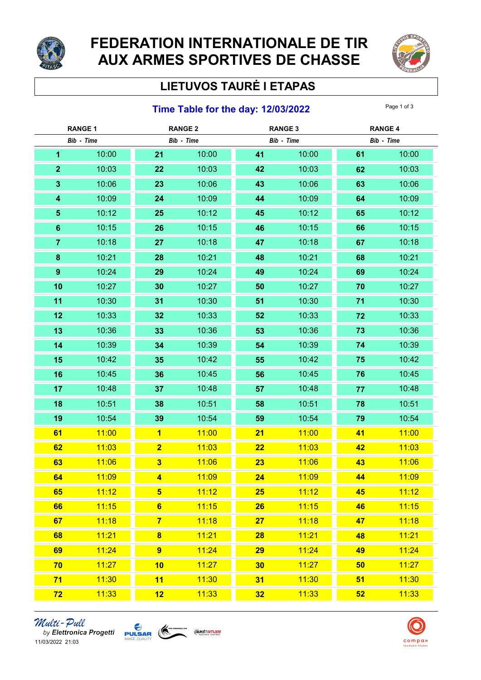

# FEDERATION INTERNATIONALE DE TIR AUX ARMES SPORTIVES DE CHASSE



## LIETUVOS TAURĖ I ETAPAS

#### **Time Table for the day: 12/03/2022** Page 1 of 3

| <b>RANGE 1</b> |       | <b>RANGE 2</b>          |       | <b>RANGE 3</b> |       | <b>RANGE 4</b> |       |
|----------------|-------|-------------------------|-------|----------------|-------|----------------|-------|
| Bib - Time     |       | Bib - Time              |       | Bib - Time     |       | Bib - Time     |       |
| 1              | 10:00 | 21                      | 10:00 | 41             | 10:00 | 61             | 10:00 |
| $\mathbf{2}$   | 10:03 | 22                      | 10:03 | 42             | 10:03 | 62             | 10:03 |
| $\mathbf{3}$   | 10:06 | 23                      | 10:06 | 43             | 10:06 | 63             | 10:06 |
| 4              | 10:09 | 24                      | 10:09 | 44             | 10:09 | 64             | 10:09 |
| $\sqrt{5}$     | 10:12 | 25                      | 10:12 | 45             | 10:12 | 65             | 10:12 |
| $6\phantom{1}$ | 10:15 | 26                      | 10:15 | 46             | 10:15 | 66             | 10:15 |
| $\overline{7}$ | 10:18 | 27                      | 10:18 | 47             | 10:18 | 67             | 10:18 |
| 8              | 10:21 | 28                      | 10:21 | 48             | 10:21 | 68             | 10:21 |
| $\pmb{9}$      | 10:24 | 29                      | 10:24 | 49             | 10:24 | 69             | 10:24 |
| 10             | 10:27 | 30                      | 10:27 | 50             | 10:27 | 70             | 10:27 |
| 11             | 10:30 | 31                      | 10:30 | 51             | 10:30 | 71             | 10:30 |
| 12             | 10:33 | 32                      | 10:33 | 52             | 10:33 | 72             | 10:33 |
| 13             | 10:36 | 33                      | 10:36 | 53             | 10:36 | 73             | 10:36 |
| 14             | 10:39 | 34                      | 10:39 | 54             | 10:39 | 74             | 10:39 |
| 15             | 10:42 | 35 <sub>5</sub>         | 10:42 | 55             | 10:42 | 75             | 10:42 |
| 16             | 10:45 | 36                      | 10:45 | 56             | 10:45 | 76             | 10:45 |
| 17             | 10:48 | 37                      | 10:48 | 57             | 10:48 | 77             | 10:48 |
| 18             | 10:51 | 38                      | 10:51 | 58             | 10:51 | 78             | 10:51 |
| 19             | 10:54 | 39                      | 10:54 | 59             | 10:54 | 79             | 10:54 |
| 61             | 11:00 | $\overline{\mathbf{1}}$ | 11:00 | 21             | 11:00 | 41             | 11:00 |
| 62             | 11:03 | $\overline{\mathbf{2}}$ | 11:03 | 22             | 11:03 | 42             | 11:03 |
| 63             | 11:06 | $\overline{\mathbf{3}}$ | 11:06 | 23             | 11:06 | 43             | 11:06 |
| 64             | 11:09 | $\overline{\mathbf{4}}$ | 11:09 | 24             | 11:09 | 44             | 11:09 |
| 65             | 11:12 | $5\phantom{1}$          | 11:12 | 25             | 11:12 | 45             | 11:12 |
| 66             | 11:15 | $6\phantom{1}$          | 11:15 | 26             | 11:15 | 46             | 11:15 |
| 67             | 11:18 | $\overline{7}$          | 11:18 | 27             | 11:18 | 47             | 11:18 |
| 68             | 11:21 | $\overline{\mathbf{8}}$ | 11:21 | 28             | 11:21 | 48             | 11:21 |
| 69             | 11:24 | 9                       | 11:24 | 29             | 11:24 | 49             | 11:24 |
| 70             | 11:27 | 10                      | 11:27 | 30             | 11:27 | 50             | 11:27 |
| 71             | 11:30 | 11                      | 11:30 | 31             | 11:30 | 51             | 11:30 |
| 72             | 11:33 | 12                      | 11:33 | 32             | 11:33 | 52             | 11:33 |

Multi-Pull by Elettronica Progetti **Pulsan (C)** 11/03/2022 21:03



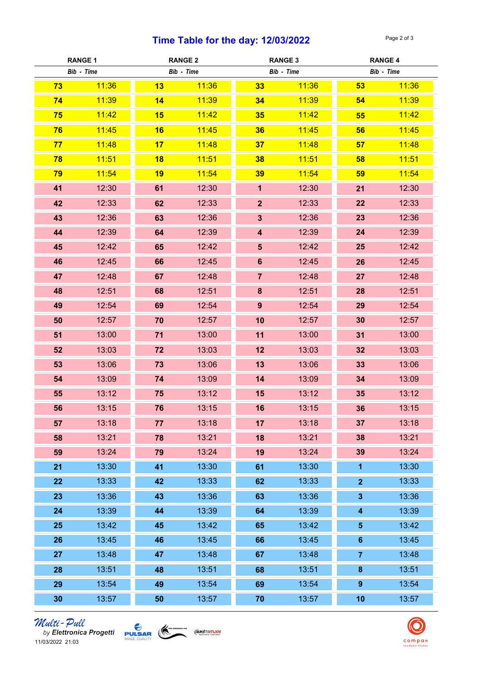### Time Table for the day:  $12/03/2022$  Page 2 of 3

| <b>RANGE 1</b> |       | <b>RANGE 2</b> |            | <b>RANGE 3</b>          |            | <b>RANGE 4</b>          |       |
|----------------|-------|----------------|------------|-------------------------|------------|-------------------------|-------|
| Bib - Time     |       |                | Bib - Time |                         | Bib - Time | Bib - Time              |       |
| 73             | 11:36 | 13             | 11:36      | 33                      | 11:36      | 53                      | 11:36 |
| 74             | 11:39 | 14             | 11:39      | 34                      | 11:39      | 54                      | 11:39 |
| 75             | 11:42 | 15             | 11:42      | 35                      | 11:42      | 55                      | 11:42 |
| 76             | 11:45 | 16             | 11:45      | 36                      | 11:45      | 56                      | 11:45 |
| 77             | 11:48 | 17             | 11:48      | 37                      | 11:48      | 57                      | 11:48 |
| 78             | 11:51 | 18             | 11:51      | 38                      | 11:51      | 58                      | 11:51 |
| 79             | 11:54 | 19             | 11:54      | 39                      | 11:54      | 59                      | 11:54 |
| 41             | 12:30 | 61             | 12:30      | $\mathbf{1}$            | 12:30      | 21                      | 12:30 |
| 42             | 12:33 | 62             | 12:33      | $\overline{2}$          | 12:33      | 22                      | 12:33 |
| 43             | 12:36 | 63             | 12:36      | $\mathbf{3}$            | 12:36      | 23                      | 12:36 |
| 44             | 12:39 | 64             | 12:39      | $\overline{\mathbf{4}}$ | 12:39      | 24                      | 12:39 |
| 45             | 12:42 | 65             | 12:42      | $5\phantom{.}$          | 12:42      | 25                      | 12:42 |
| 46             | 12:45 | 66             | 12:45      | $6\phantom{a}$          | 12:45      | 26                      | 12:45 |
| 47             | 12:48 | 67             | 12:48      | $\overline{7}$          | 12:48      | 27                      | 12:48 |
| 48             | 12:51 | 68             | 12:51      | 8                       | 12:51      | 28                      | 12:51 |
| 49             | 12:54 | 69             | 12:54      | 9 <sup>°</sup>          | 12:54      | 29                      | 12:54 |
| 50             | 12:57 | 70             | 12:57      | 10                      | 12:57      | 30                      | 12:57 |
| 51             | 13:00 | 71             | 13:00      | 11                      | 13:00      | 31                      | 13:00 |
| 52             | 13:03 | 72             | 13:03      | 12                      | 13:03      | 32                      | 13:03 |
| 53             | 13:06 | 73             | 13:06      | 13                      | 13:06      | 33                      | 13:06 |
| 54             | 13:09 | 74             | 13:09      | 14                      | 13:09      | 34                      | 13:09 |
| 55             | 13:12 | 75             | 13:12      | 15                      | 13:12      | 35                      | 13:12 |
| 56             | 13:15 | 76             | 13:15      | 16                      | 13:15      | 36                      | 13:15 |
| 57             | 13:18 | 77             | 13:18      | 17                      | 13:18      | 37                      | 13:18 |
| 58             | 13:21 | 78             | 13:21      | 18                      | 13:21      | 38                      | 13:21 |
| 59             | 13:24 | 79             | 13:24      | 19                      | 13:24      | 39                      | 13:24 |
| 21             | 13:30 | 41             | 13:30      | 61                      | 13:30      | $\mathbf{1}$            | 13:30 |
| 22             | 13:33 | 42             | 13:33      | 62                      | 13:33      | $\overline{2}$          | 13:33 |
| 23             | 13:36 | 43             | 13:36      | 63                      | 13:36      | $\mathbf{3}$            | 13:36 |
| 24             | 13:39 | 44             | 13:39      | 64                      | 13:39      | $\overline{\mathbf{4}}$ | 13:39 |
| 25             | 13:42 | 45             | 13:42      | 65                      | 13:42      | $\sqrt{5}$              | 13:42 |
| 26             | 13:45 | 46             | 13:45      | 66                      | 13:45      | $6\phantom{a}$          | 13:45 |
| 27             | 13:48 | 47             | 13:48      | 67                      | 13:48      | $\overline{7}$          | 13:48 |
| 28             | 13:51 | 48             | 13:51      | 68                      | 13:51      | $\pmb{8}$               | 13:51 |
| 29             | 13:54 | 49             | 13:54      | 69                      | 13:54      | $\pmb{9}$               | 13:54 |
| 30             | 13:57 | 50             | 13:57      | 70                      | 13:57      | 10                      | 13:57 |

*Multi-Pull*<br>by Elettronica Progetti **PULSAR**<br>11/03/2022 21:03